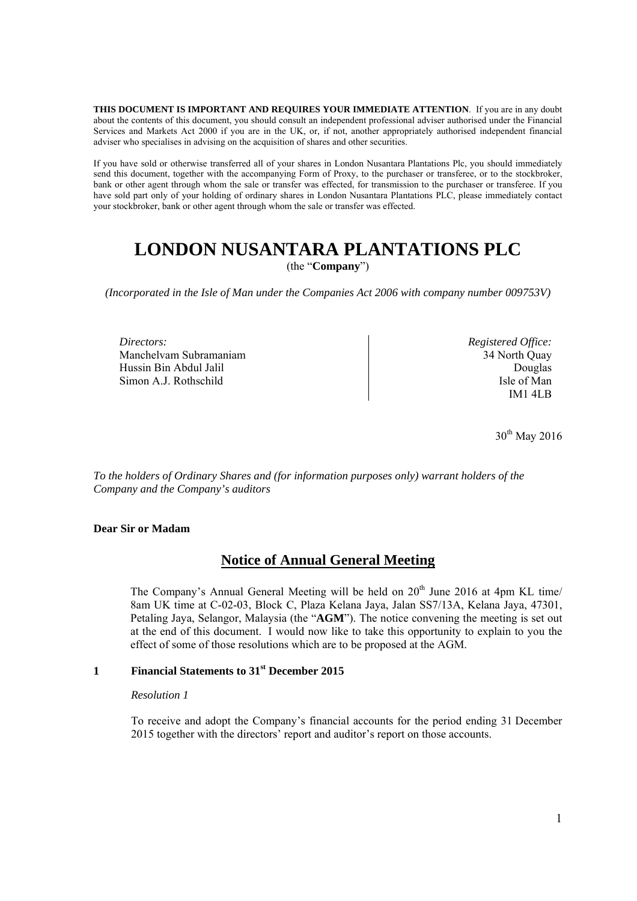**THIS DOCUMENT IS IMPORTANT AND REQUIRES YOUR IMMEDIATE ATTENTION**. If you are in any doubt about the contents of this document, you should consult an independent professional adviser authorised under the Financial Services and Markets Act 2000 if you are in the UK, or, if not, another appropriately authorised independent financial adviser who specialises in advising on the acquisition of shares and other securities.

If you have sold or otherwise transferred all of your shares in London Nusantara Plantations Plc, you should immediately send this document, together with the accompanying Form of Proxy, to the purchaser or transferee, or to the stockbroker, bank or other agent through whom the sale or transfer was effected, for transmission to the purchaser or transferee. If you have sold part only of your holding of ordinary shares in London Nusantara Plantations PLC, please immediately contact your stockbroker, bank or other agent through whom the sale or transfer was effected.

# **LONDON NUSANTARA PLANTATIONS PLC**

(the "**Company**")

*(Incorporated in the Isle of Man under the Companies Act 2006 with company number 009753V)* 

*Directors:* Manchelvam Subramaniam Hussin Bin Abdul Jalil Simon A.J. Rothschild

*Registered Office:* 34 North Quay Douglas Isle of Man IM1 4LB

30<sup>th</sup> May 2016

*To the holders of Ordinary Shares and (for information purposes only) warrant holders of the Company and the Company's auditors*

#### **Dear Sir or Madam**

# **Notice of Annual General Meeting**

The Company's Annual General Meeting will be held on  $20<sup>th</sup>$  June 2016 at 4pm KL time/ 8am UK time at C-02-03, Block C, Plaza Kelana Jaya, Jalan SS7/13A, Kelana Jaya, 47301, Petaling Jaya, Selangor, Malaysia (the "**AGM**"). The notice convening the meeting is set out at the end of this document. I would now like to take this opportunity to explain to you the effect of some of those resolutions which are to be proposed at the AGM.

## **1 Financial Statements to 31st December 2015**

#### *Resolution 1*

To receive and adopt the Company's financial accounts for the period ending 31 December 2015 together with the directors' report and auditor's report on those accounts.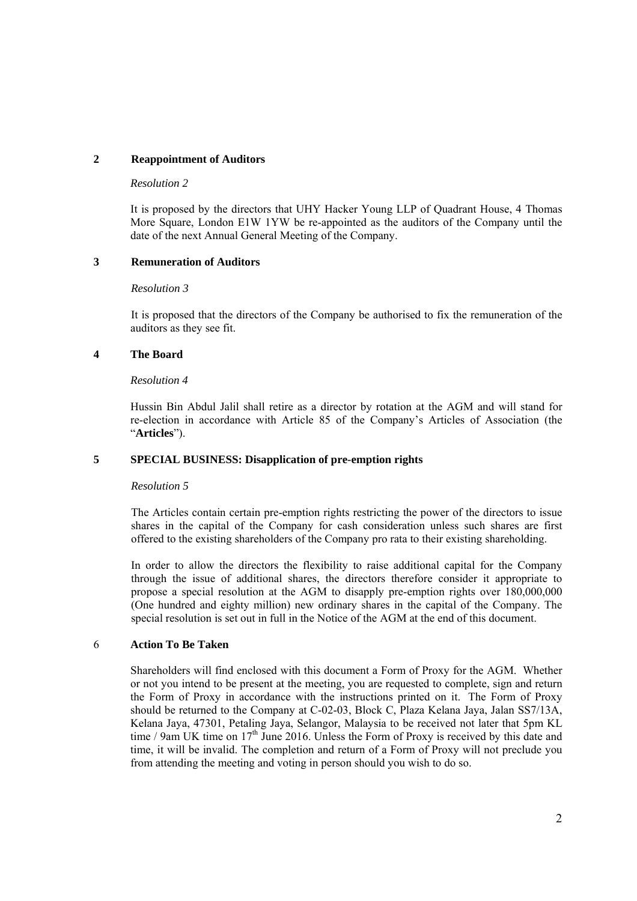## **2 Reappointment of Auditors**

#### *Resolution 2*

It is proposed by the directors that UHY Hacker Young LLP of Quadrant House, 4 Thomas More Square, London E1W 1YW be re-appointed as the auditors of the Company until the date of the next Annual General Meeting of the Company.

## **3 Remuneration of Auditors**

#### *Resolution 3*

It is proposed that the directors of the Company be authorised to fix the remuneration of the auditors as they see fit.

## **4 The Board**

#### *Resolution 4*

Hussin Bin Abdul Jalil shall retire as a director by rotation at the AGM and will stand for re-election in accordance with Article 85 of the Company's Articles of Association (the "**Articles**").

## **5 SPECIAL BUSINESS: Disapplication of pre-emption rights**

## *Resolution 5*

The Articles contain certain pre-emption rights restricting the power of the directors to issue shares in the capital of the Company for cash consideration unless such shares are first offered to the existing shareholders of the Company pro rata to their existing shareholding.

In order to allow the directors the flexibility to raise additional capital for the Company through the issue of additional shares, the directors therefore consider it appropriate to propose a special resolution at the AGM to disapply pre-emption rights over 180,000,000 (One hundred and eighty million) new ordinary shares in the capital of the Company. The special resolution is set out in full in the Notice of the AGM at the end of this document.

## 6 **Action To Be Taken**

Shareholders will find enclosed with this document a Form of Proxy for the AGM. Whether or not you intend to be present at the meeting, you are requested to complete, sign and return the Form of Proxy in accordance with the instructions printed on it. The Form of Proxy should be returned to the Company at C-02-03, Block C, Plaza Kelana Jaya, Jalan SS7/13A, Kelana Jaya, 47301, Petaling Jaya, Selangor, Malaysia to be received not later that 5pm KL time / 9am UK time on 17<sup>th</sup> June 2016. Unless the Form of Proxy is received by this date and time, it will be invalid. The completion and return of a Form of Proxy will not preclude you from attending the meeting and voting in person should you wish to do so.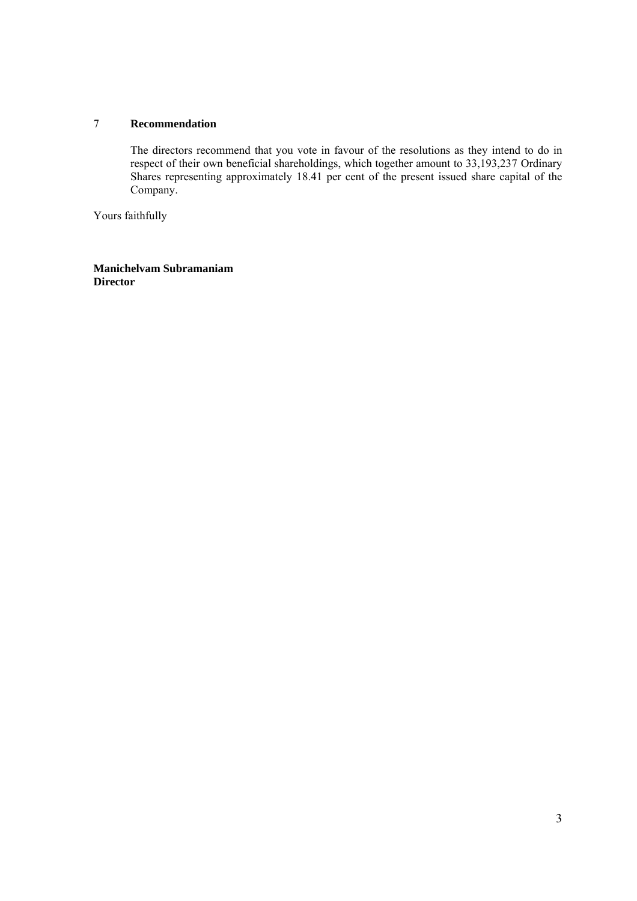# 7 **Recommendation**

The directors recommend that you vote in favour of the resolutions as they intend to do in respect of their own beneficial shareholdings, which together amount to 33,193,237 Ordinary Shares representing approximately 18.41 per cent of the present issued share capital of the Company.

Yours faithfully

**Manichelvam Subramaniam Director**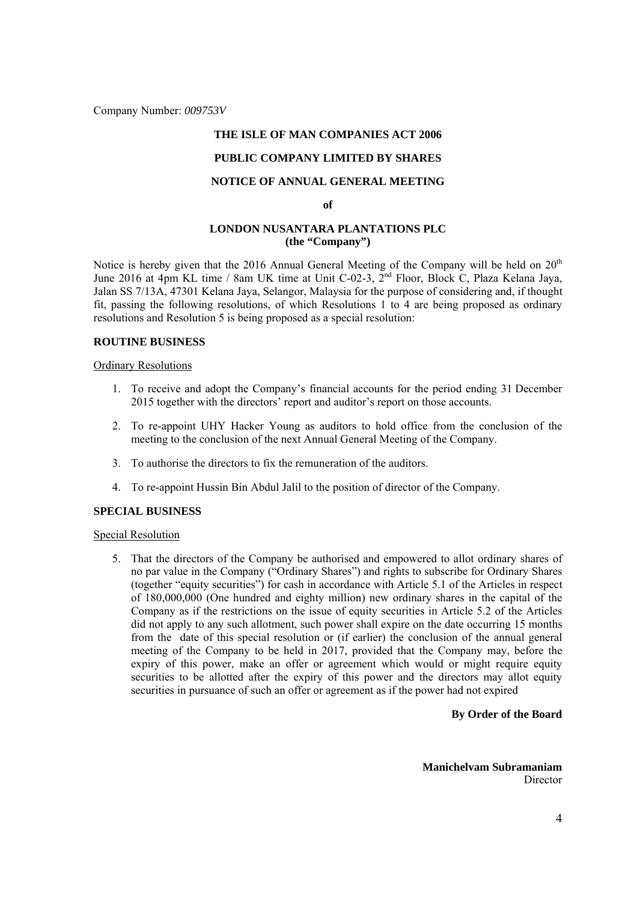Company Number: *009753V*

## **THE ISLE OF MAN COMPANIES ACT 2006**

## **PUBLIC COMPANY LIMITED BY SHARES**

# **NOTICE OF ANNUAL GENERAL MEETING**

**of** 

#### **LONDON NUSANTARA PLANTATIONS PLC (the "Company")**

Notice is hereby given that the 2016 Annual General Meeting of the Company will be held on 20<sup>th</sup> June 2016 at 4pm KL time / 8am UK time at Unit C-02-3, 2<sup>nd</sup> Floor, Block C, Plaza Kelana Jaya, Jalan SS 7/13A, 47301 Kelana Jaya, Selangor, Malaysia for the purpose of considering and, if thought fit, passing the following resolutions, of which Resolutions 1 to 4 are being proposed as ordinary resolutions and Resolution 5 is being proposed as a special resolution:

#### **ROUTINE BUSINESS**

#### Ordinary Resolutions

- 1. To receive and adopt the Company's financial accounts for the period ending 31 December 2015 together with the directors' report and auditor's report on those accounts.
- 2. To re-appoint UHY Hacker Young as auditors to hold office from the conclusion of the meeting to the conclusion of the next Annual General Meeting of the Company.
- 3. To authorise the directors to fix the remuneration of the auditors.
- 4. To re-appoint Hussin Bin Abdul Jalil to the position of director of the Company.

## **SPECIAL BUSINESS**

#### Special Resolution

5. That the directors of the Company be authorised and empowered to allot ordinary shares of no par value in the Company ("Ordinary Shares") and rights to subscribe for Ordinary Shares (together "equity securities") for cash in accordance with Article 5.1 of the Articles in respect of 180,000,000 (One hundred and eighty million) new ordinary shares in the capital of the Company as if the restrictions on the issue of equity securities in Article 5.2 of the Articles did not apply to any such allotment, such power shall expire on the date occurring 15 months from the date of this special resolution or (if earlier) the conclusion of the annual general meeting of the Company to be held in 2017, provided that the Company may, before the expiry of this power, make an offer or agreement which would or might require equity securities to be allotted after the expiry of this power and the directors may allot equity securities in pursuance of such an offer or agreement as if the power had not expired

#### **By Order of the Board**

**Manichelvam Subramaniam Director**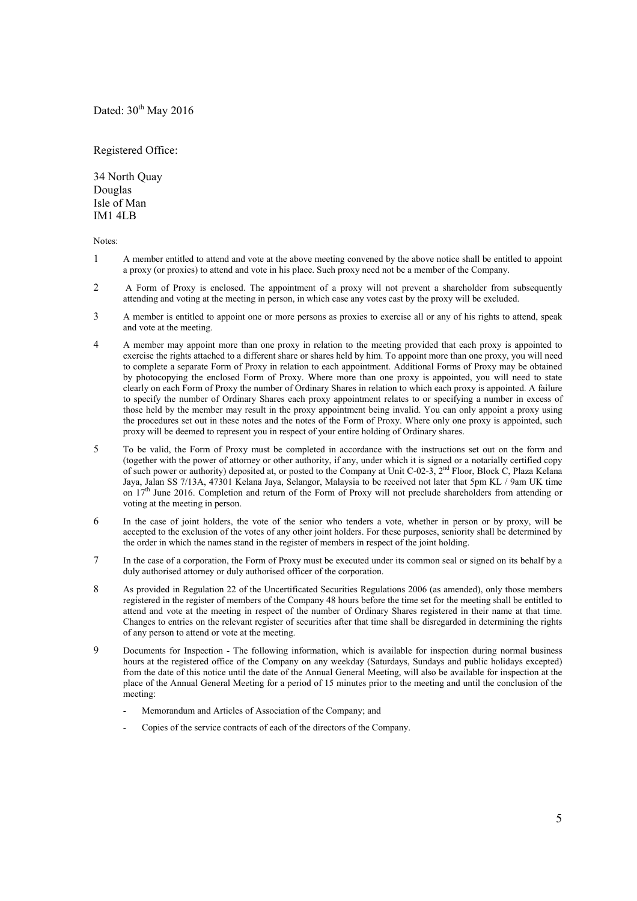## Dated:  $30<sup>th</sup>$  May 2016

Registered Office:

34 North Quay Douglas Isle of Man IM1 4LB

Notes:

- 1 A member entitled to attend and vote at the above meeting convened by the above notice shall be entitled to appoint a proxy (or proxies) to attend and vote in his place. Such proxy need not be a member of the Company.
- 2 A Form of Proxy is enclosed. The appointment of a proxy will not prevent a shareholder from subsequently attending and voting at the meeting in person, in which case any votes cast by the proxy will be excluded.
- 3 A member is entitled to appoint one or more persons as proxies to exercise all or any of his rights to attend, speak and vote at the meeting.
- 4 A member may appoint more than one proxy in relation to the meeting provided that each proxy is appointed to exercise the rights attached to a different share or shares held by him. To appoint more than one proxy, you will need to complete a separate Form of Proxy in relation to each appointment. Additional Forms of Proxy may be obtained by photocopying the enclosed Form of Proxy. Where more than one proxy is appointed, you will need to state clearly on each Form of Proxy the number of Ordinary Shares in relation to which each proxy is appointed. A failure to specify the number of Ordinary Shares each proxy appointment relates to or specifying a number in excess of those held by the member may result in the proxy appointment being invalid. You can only appoint a proxy using the procedures set out in these notes and the notes of the Form of Proxy. Where only one proxy is appointed, such proxy will be deemed to represent you in respect of your entire holding of Ordinary shares.
- 5 To be valid, the Form of Proxy must be completed in accordance with the instructions set out on the form and (together with the power of attorney or other authority, if any, under which it is signed or a notarially certified copy of such power or authority) deposited at, or posted to the Company at Unit C-02-3, 2<sup>nd</sup> Floor, Block C, Plaza Kelana Jaya, Jalan SS 7/13A, 47301 Kelana Jaya, Selangor, Malaysia to be received not later that 5pm KL / 9am UK time on 17<sup>th</sup> June 2016. Completion and return of the Form of Proxy will not preclude shareholders from attending or voting at the meeting in person.
- 6 In the case of joint holders, the vote of the senior who tenders a vote, whether in person or by proxy, will be accepted to the exclusion of the votes of any other joint holders. For these purposes, seniority shall be determined by the order in which the names stand in the register of members in respect of the joint holding.
- 7 In the case of a corporation, the Form of Proxy must be executed under its common seal or signed on its behalf by a duly authorised attorney or duly authorised officer of the corporation.
- 8 As provided in Regulation 22 of the Uncertificated Securities Regulations 2006 (as amended), only those members registered in the register of members of the Company 48 hours before the time set for the meeting shall be entitled to attend and vote at the meeting in respect of the number of Ordinary Shares registered in their name at that time. Changes to entries on the relevant register of securities after that time shall be disregarded in determining the rights of any person to attend or vote at the meeting.
- 9 Documents for Inspection The following information, which is available for inspection during normal business hours at the registered office of the Company on any weekday (Saturdays, Sundays and public holidays excepted) from the date of this notice until the date of the Annual General Meeting, will also be available for inspection at the place of the Annual General Meeting for a period of 15 minutes prior to the meeting and until the conclusion of the meeting:
	- Memorandum and Articles of Association of the Company; and
	- Copies of the service contracts of each of the directors of the Company.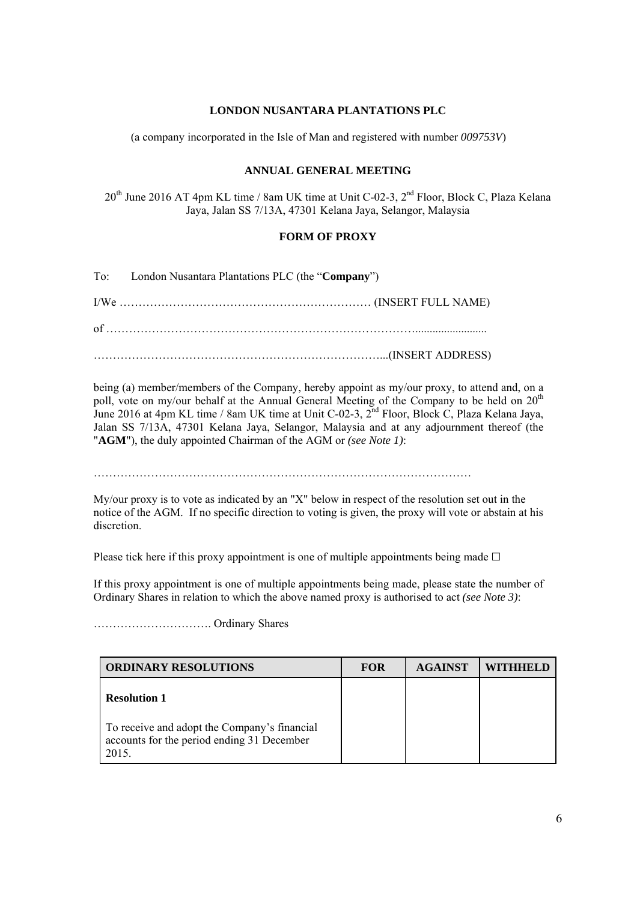## **LONDON NUSANTARA PLANTATIONS PLC**

(a company incorporated in the Isle of Man and registered with number *009753V*)

## **ANNUAL GENERAL MEETING**

20<sup>th</sup> June 2016 AT 4pm KL time / 8am UK time at Unit C-02-3, 2<sup>nd</sup> Floor, Block C, Plaza Kelana Jaya, Jalan SS 7/13A, 47301 Kelana Jaya, Selangor, Malaysia

## **FORM OF PROXY**

To: London Nusantara Plantations PLC (the "**Company**") I/We ………………………………………………………… (INSERT FULL NAME) of ………………………………………………………………………......................... …………………………………………………………………...(INSERT ADDRESS)

being (a) member/members of the Company, hereby appoint as my/our proxy, to attend and, on a poll, vote on my/our behalf at the Annual General Meeting of the Company to be held on 20<sup>th</sup> June 2016 at 4pm KL time / 8am UK time at Unit C-02-3, 2<sup>nd</sup> Floor, Block C, Plaza Kelana Jaya, Jalan SS 7/13A, 47301 Kelana Jaya, Selangor, Malaysia and at any adjournment thereof (the "**AGM**"), the duly appointed Chairman of the AGM or *(see Note 1)*:

………………………………………………………………………………………

My/our proxy is to vote as indicated by an "X" below in respect of the resolution set out in the notice of the AGM. If no specific direction to voting is given, the proxy will vote or abstain at his discretion.

Please tick here if this proxy appointment is one of multiple appointments being made  $\Box$ 

If this proxy appointment is one of multiple appointments being made, please state the number of Ordinary Shares in relation to which the above named proxy is authorised to act *(see Note 3)*:

…………………………. Ordinary Shares

| <b>ORDINARY RESOLUTIONS</b>                                         | <b>FOR</b> | <b>AGAINST</b> | WITHHELD |
|---------------------------------------------------------------------|------------|----------------|----------|
| <b>Resolution 1</b><br>To receive and adopt the Company's financial |            |                |          |
| accounts for the period ending 31 December<br>2015.                 |            |                |          |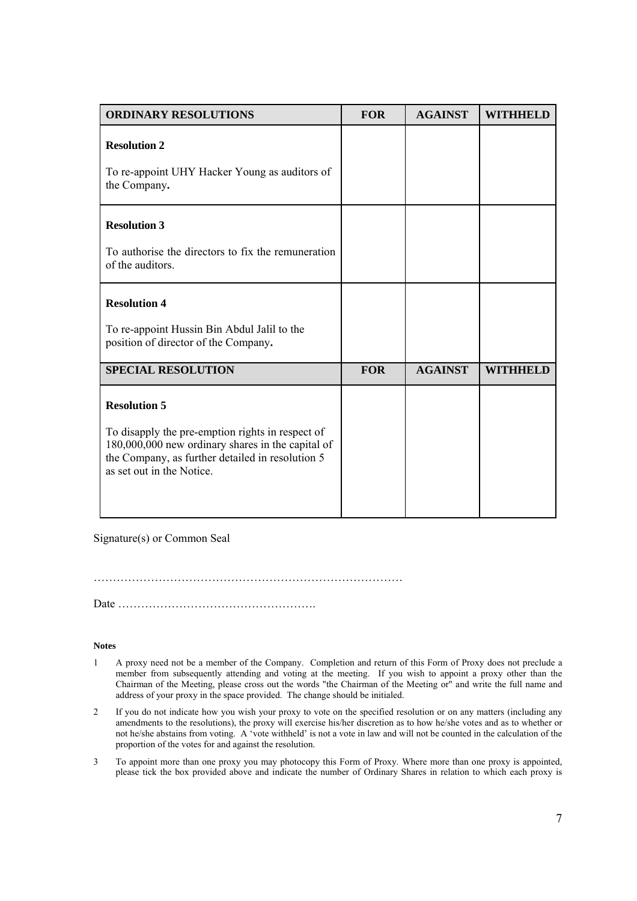| <b>ORDINARY RESOLUTIONS</b>                                                                                                  | <b>FOR</b> | <b>AGAINST</b> | <b>WITHHELD</b> |
|------------------------------------------------------------------------------------------------------------------------------|------------|----------------|-----------------|
| <b>Resolution 2</b>                                                                                                          |            |                |                 |
| To re-appoint UHY Hacker Young as auditors of<br>the Company.                                                                |            |                |                 |
| <b>Resolution 3</b>                                                                                                          |            |                |                 |
| To authorise the directors to fix the remuneration<br>of the auditors.                                                       |            |                |                 |
| <b>Resolution 4</b>                                                                                                          |            |                |                 |
| To re-appoint Hussin Bin Abdul Jalil to the<br>position of director of the Company.                                          |            |                |                 |
| <b>SPECIAL RESOLUTION</b>                                                                                                    | <b>FOR</b> | <b>AGAINST</b> | <b>WITHHELD</b> |
| <b>Resolution 5</b><br>To disapply the pre-emption rights in respect of<br>180,000,000 new ordinary shares in the capital of |            |                |                 |
| the Company, as further detailed in resolution 5<br>as set out in the Notice.                                                |            |                |                 |

Signature(s) or Common Seal

………………………………………………………………………

Date …………………………………………….

#### **Notes**

- 1 A proxy need not be a member of the Company. Completion and return of this Form of Proxy does not preclude a member from subsequently attending and voting at the meeting. If you wish to appoint a proxy other than the Chairman of the Meeting, please cross out the words "the Chairman of the Meeting or" and write the full name and address of your proxy in the space provided. The change should be initialed.
- 2 If you do not indicate how you wish your proxy to vote on the specified resolution or on any matters (including any amendments to the resolutions), the proxy will exercise his/her discretion as to how he/she votes and as to whether or not he/she abstains from voting. A 'vote withheld' is not a vote in law and will not be counted in the calculation of the proportion of the votes for and against the resolution.
- 3 To appoint more than one proxy you may photocopy this Form of Proxy. Where more than one proxy is appointed, please tick the box provided above and indicate the number of Ordinary Shares in relation to which each proxy is